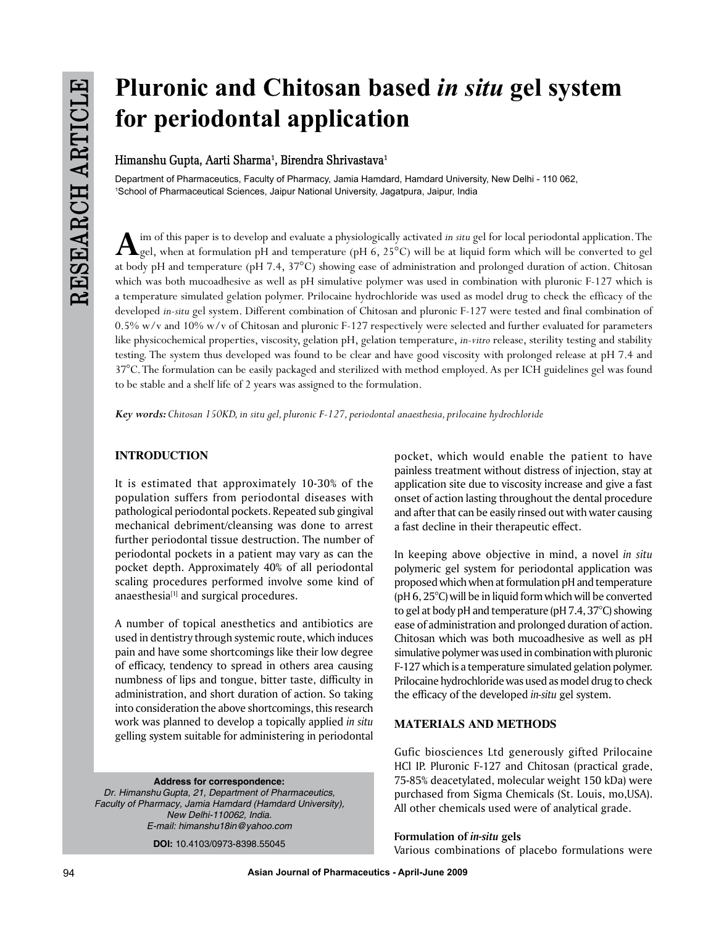# **Pluronic and Chitosan based** *in situ* **gel system for periodontal application**

**Himanshu Gupta, Aarti Sharma1 , Birendra Shrivastava1**

Department of Pharmaceutics, Faculty of Pharmacy, Jamia Hamdard, Hamdard University, New Delhi - 110 062, 1 School of Pharmaceutical Sciences, Jaipur National University, Jagatpura, Jaipur, India

 $\mathbf{A}$  im of this paper is to develop and evaluate a physiologically activated *in situ* gel for local periodontal application. The gel, when at formulation pH and temperature (pH 6, 25°C) will be at liquid form which w at body pH and temperature (pH 7.4, 37°C) showing ease of administration and prolonged duration of action. Chitosan which was both mucoadhesive as well as pH simulative polymer was used in combination with pluronic F-127 which is a temperature simulated gelation polymer. Prilocaine hydrochloride was used as model drug to check the efficacy of the developed *in-situ* gel system. Different combination of Chitosan and pluronic F-127 were tested and final combination of 0.5% w/v and 10% w/v of Chitosan and pluronic F-127 respectively were selected and further evaluated for parameters like physicochemical properties, viscosity, gelation pH, gelation temperature, *in-vitro* release, sterility testing and stability testing. The system thus developed was found to be clear and have good viscosity with prolonged release at pH 7.4 and 37°C. The formulation can be easily packaged and sterilized with method employed. As per ICH guidelines gel was found to be stable and a shelf life of 2 years was assigned to the formulation.

*Key words: Chitosan 150KD, in situ gel, pluronic F-127, periodontal anaesthesia, prilocaine hydrochloride*

# **INTRODUCTION**

It is estimated that approximately 10-30% of the population suffers from periodontal diseases with pathological periodontal pockets. Repeated sub gingival mechanical debriment/cleansing was done to arrest further periodontal tissue destruction. The number of periodontal pockets in a patient may vary as can the pocket depth. Approximately 40% of all periodontal scaling procedures performed involve some kind of anaesthesia<sup>[1]</sup> and surgical procedures.

A number of topical anesthetics and antibiotics are used in dentistry through systemic route, which induces pain and have some shortcomings like their low degree of efficacy, tendency to spread in others area causing numbness of lips and tongue, bitter taste, difficulty in administration, and short duration of action. So taking into consideration the above shortcomings, this research work was planned to develop a topically applied *in situ* gelling system suitable for administering in periodontal

**Address for correspondence:** *Dr. Himanshu Gupta, 21, Department of Pharmaceutics, Faculty of Pharmacy, Jamia Hamdard (Hamdard University), New Delhi-110062, India. E-mail: himanshu18in@yahoo.com*

**DOI:** 10.4103/0973-8398.55045

pocket, which would enable the patient to have painless treatment without distress of injection, stay at application site due to viscosity increase and give a fast onset of action lasting throughout the dental procedure and after that can be easily rinsed out with water causing a fast decline in their therapeutic effect.

In keeping above objective in mind, a novel *in situ* polymeric gel system for periodontal application was proposed which when at formulation pH and temperature (pH 6, 25°C) will be in liquid form which will be converted to gel at body pH and temperature (pH 7.4, 37°C) showing ease of administration and prolonged duration of action. Chitosan which was both mucoadhesive as well as pH simulative polymer was used in combination with pluronic F-127 which is a temperature simulated gelation polymer. Prilocaine hydrochloride was used as model drug to check the efficacy of the developed *in-situ* gel system.

# **MATERIALS AND METHODS**

Gufic biosciences Ltd generously gifted Prilocaine HCl IP. Pluronic F-127 and Chitosan (practical grade, 75-85% deacetylated, molecular weight 150 kDa) were purchased from Sigma Chemicals (St. Louis, mo,USA). All other chemicals used were of analytical grade.

## **Formulation of** *in-situ* **gels**

Various combinations of placebo formulations were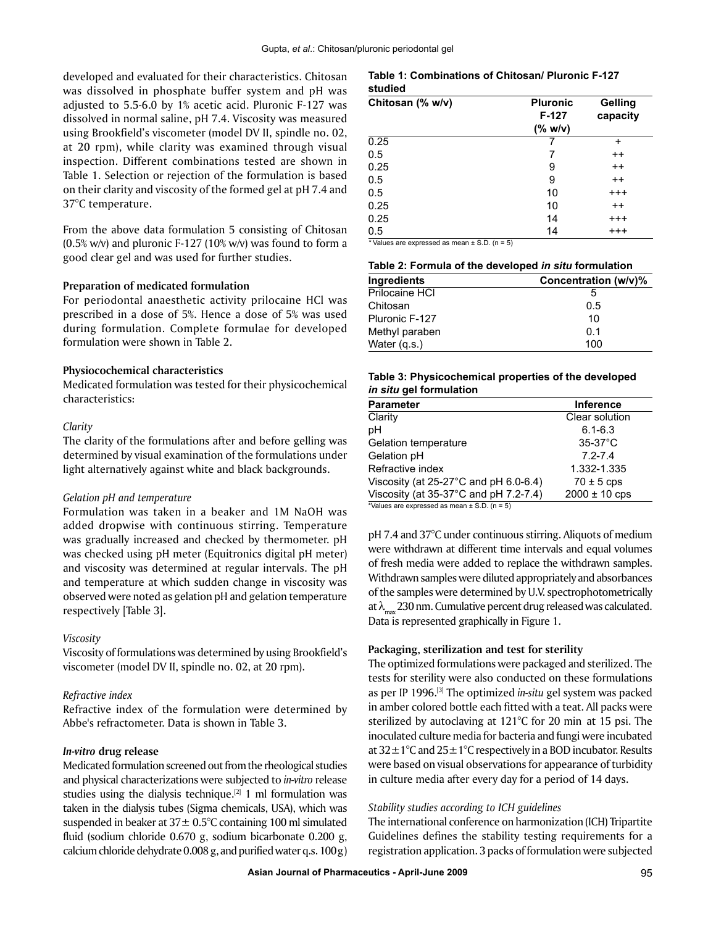developed and evaluated for their characteristics. Chitosan was dissolved in phosphate buffer system and pH was adjusted to 5.5-6.0 by 1% acetic acid. Pluronic F-127 was dissolved in normal saline, pH 7.4. Viscosity was measured using Brookfield's viscometer (model DV II, spindle no. 02, at 20 rpm), while clarity was examined through visual inspection. Different combinations tested are shown in Table 1. Selection or rejection of the formulation is based on their clarity and viscosity of the formed gel at pH 7.4 and 37°C temperature.

From the above data formulation 5 consisting of Chitosan  $(0.5\%$  w/v) and pluronic F-127 (10% w/v) was found to form a good clear gel and was used for further studies.

#### **Preparation of medicated formulation**

For periodontal anaesthetic activity prilocaine HCl was prescribed in a dose of 5%. Hence a dose of 5% was used during formulation. Complete formulae for developed formulation were shown in Table 2.

## **Physiocochemical characteristics**

Medicated formulation was tested for their physicochemical characteristics:

#### *Clarity*

The clarity of the formulations after and before gelling was determined by visual examination of the formulations under light alternatively against white and black backgrounds.

#### *Gelation pH and temperature*

Formulation was taken in a beaker and 1M NaOH was added dropwise with continuous stirring. Temperature was gradually increased and checked by thermometer. pH was checked using pH meter (Equitronics digital pH meter) and viscosity was determined at regular intervals. The pH and temperature at which sudden change in viscosity was observed were noted as gelation pH and gelation temperature respectively [Table 3].

#### *Viscosity*

Viscosity of formulations was determined by using Brookfield's viscometer (model DV II, spindle no. 02, at 20 rpm).

#### *Refractive index*

Refractive index of the formulation were determined by Abbe's refractometer. Data is shown in Table 3.

## *In-vitro* **drug release**

Medicated formulation screened out from the rheological studies and physical characterizations were subjected to *in-vitro* release studies using the dialysis technique.<sup>[2]</sup> 1 ml formulation was taken in the dialysis tubes (Sigma chemicals, USA), which was suspended in beaker at  $37 \pm 0.5^{\circ}$ C containing 100 ml simulated fluid (sodium chloride 0.670 g, sodium bicarbonate 0.200 g, calcium chloride dehydrate 0.008 g, and purified water q.s. 100g)

#### **Table 1: Combinations of Chitosan/ Pluronic F-127 studied**

| Chitosan (% w/v) | <b>Pluronic</b><br>F-127<br>$(% \mathbf{w}$ (% w/v) | Gelling<br>capacity |
|------------------|-----------------------------------------------------|---------------------|
| 0.25             |                                                     | $\ddot{}$           |
| 0.5              | 7                                                   | $^{++}$             |
| 0.25             | 9                                                   | $^{++}$             |
| 0.5              | 9                                                   | $^{++}$             |
| 0.5              | 10                                                  | $^{+ + +}$          |
| 0.25             | 10                                                  | $^{++}$             |
| 0.25             | 14                                                  | $^{+ + +}$          |
| 0.5              | 14                                                  | $^{++}$             |

*\** Values are expressed as mean ± S.D. (n = 5)

| Table 2: Formula of the developed in situ formulation |  |  |
|-------------------------------------------------------|--|--|
|-------------------------------------------------------|--|--|

| Ingredients    | Concentration (w/v)% |
|----------------|----------------------|
| Prilocaine HCI |                      |
| Chitosan       | 0.5                  |
| Pluronic F-127 | 10                   |
| Methyl paraben | 0.1                  |
| Water (g.s.)   | 100                  |

#### **Table 3: Physicochemical properties of the developed**  *in situ* **gel formulation**

| Parameter                                                                             | <b>Inference</b>  |  |
|---------------------------------------------------------------------------------------|-------------------|--|
| Clarity                                                                               | Clear solution    |  |
| рH                                                                                    | $6.1 - 6.3$       |  |
| Gelation temperature                                                                  | $35-37$ °C        |  |
| Gelation pH                                                                           | $7.2 - 7.4$       |  |
| Refractive index                                                                      | 1.332-1.335       |  |
| Viscosity (at $25-27$ °C and pH 6.0-6.4)                                              | $70 \pm 5$ cps    |  |
| Viscosity (at $35-37^{\circ}$ C and pH 7.2-7.4)                                       | $2000 \pm 10$ cps |  |
| *\/oluon are expressed as mean $+$ $\overline{C}$ $\overline{D}$ $(n = \overline{E})$ |                   |  |

Values are expressed as mean  $\pm$  S.D. (n = 5)

pH 7.4 and 37°C under continuous stirring. Aliquots of medium were withdrawn at different time intervals and equal volumes of fresh media were added to replace the withdrawn samples. Withdrawn samples were diluted appropriately and absorbances of the samples were determined by U.V. spectrophotometrically at  $\lambda_{\text{max}}$  230 nm. Cumulative percent drug released was calculated. Data is represented graphically in Figure 1.

# **Packaging, sterilization and test for sterility**

The optimized formulations were packaged and sterilized. The tests for sterility were also conducted on these formulations as per IP 1996.[3] The optimized *in-situ* gel system was packed in amber colored bottle each fitted with a teat. All packs were sterilized by autoclaving at 121°C for 20 min at 15 psi. The inoculated culture media for bacteria and fungi were incubated at  $32 \pm 1^{\circ}$ C and  $25 \pm 1^{\circ}$ C respectively in a BOD incubator. Results were based on visual observations for appearance of turbidity in culture media after every day for a period of 14 days.

## *Stability studies according to ICH guidelines*

The international conference on harmonization (ICH) Tripartite Guidelines defines the stability testing requirements for a registration application. 3 packs of formulation were subjected